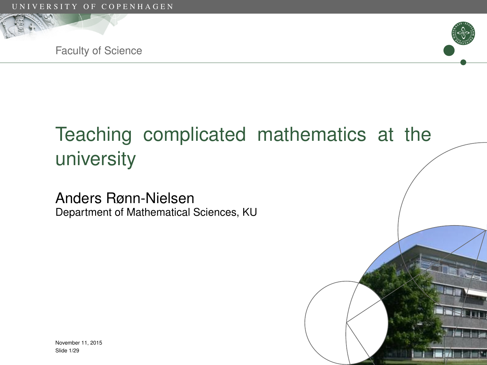





# Teaching complicated mathematics at the university

Anders Rønn-Nielsen Department of Mathematical Sciences, KU

November 11, 2015 Slide 1/29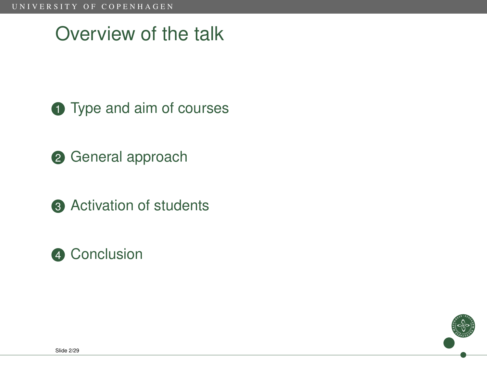## Overview of the talk

- **1** [Type and aim of courses](#page-2-0)
- 2 [General approach](#page-5-0)
- **3** [Activation of students](#page-7-0)
- 4 [Conclusion](#page-44-0)

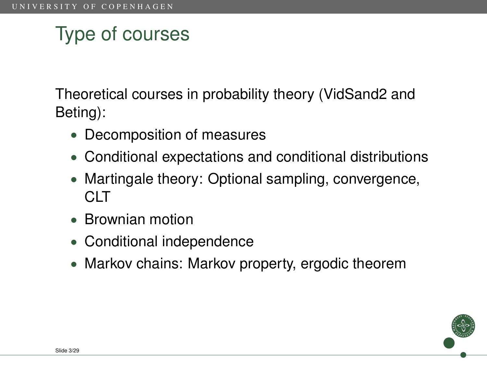# Type of courses

Theoretical courses in probability theory (VidSand2 and Beting):

- Decomposition of measures
- Conditional expectations and conditional distributions
- Martingale theory: Optional sampling, convergence, CLT
- Brownian motion
- Conditional independence
- Markov chains: Markov property, ergodic theorem

<span id="page-2-0"></span>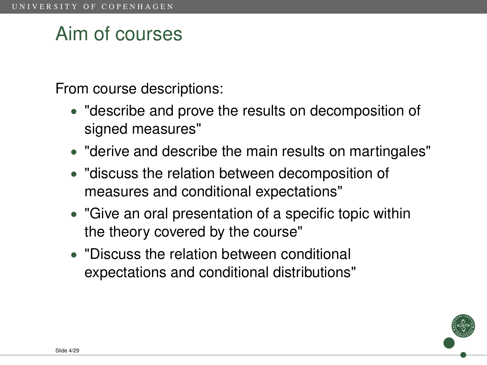## Aim of courses

From course descriptions:

- "describe and prove the results on decomposition of signed measures"
- "derive and describe the main results on martingales"
- "discuss the relation between decomposition of measures and conditional expectations"
- "Give an oral presentation of a specific topic within the theory covered by the course"
- "Discuss the relation between conditional expectations and conditional distributions"

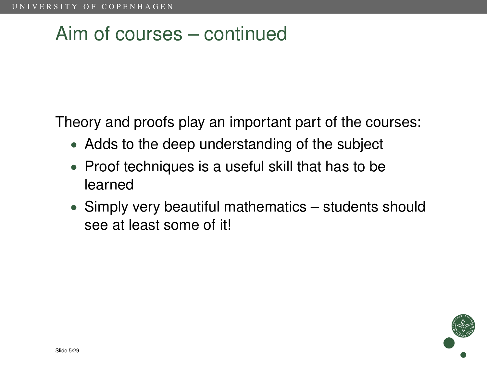## Aim of courses – continued

Theory and proofs play an important part of the courses:

- Adds to the deep understanding of the subject
- Proof techniques is a useful skill that has to be learned
- Simply very beautiful mathematics students should see at least some of it!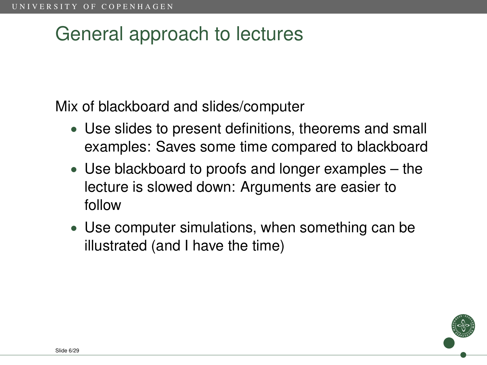## General approach to lectures

Mix of blackboard and slides/computer

- Use slides to present definitions, theorems and small examples: Saves some time compared to blackboard
- Use blackboard to proofs and longer examples the lecture is slowed down: Arguments are easier to follow
- Use computer simulations, when something can be illustrated (and I have the time)

<span id="page-5-0"></span>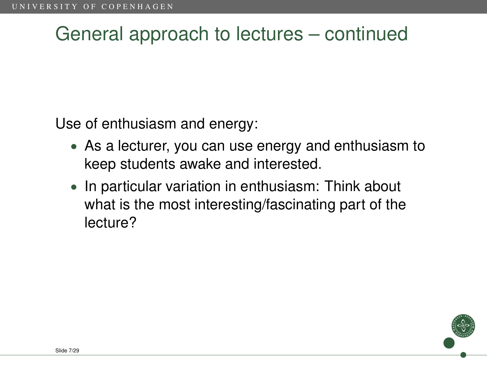## General approach to lectures – continued

Use of enthusiasm and energy:

- As a lecturer, you can use energy and enthusiasm to keep students awake and interested.
- In particular variation in enthusiasm: Think about what is the most interesting/fascinating part of the lecture?

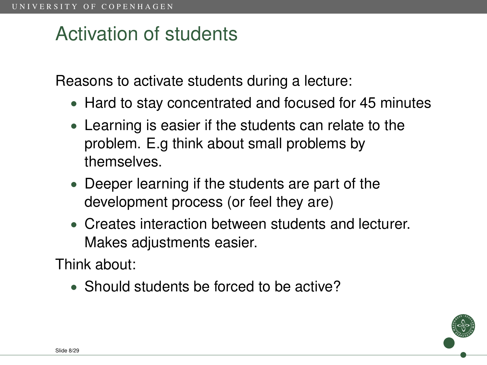## Activation of students

Reasons to activate students during a lecture:

- Hard to stay concentrated and focused for 45 minutes
- Learning is easier if the students can relate to the problem. E.g think about small problems by themselves.
- Deeper learning if the students are part of the development process (or feel they are)
- Creates interaction between students and lecturer. Makes adjustments easier.

Think about:

• Should students be forced to be active?

<span id="page-7-0"></span>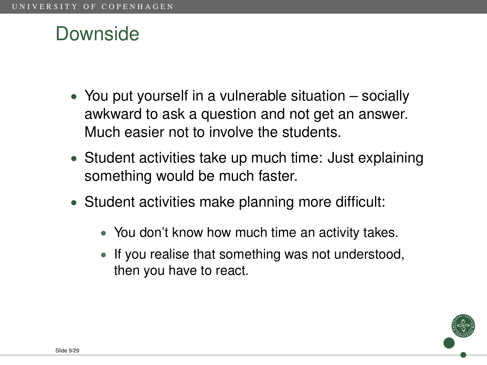## Downside

- You put yourself in a vulnerable situation socially awkward to ask a question and not get an answer. Much easier not to involve the students.
- Student activities take up much time: Just explaining something would be much faster.
- Student activities make planning more difficult:
	- You don't know how much time an activity takes.
	- If you realise that something was not understood, then you have to react.

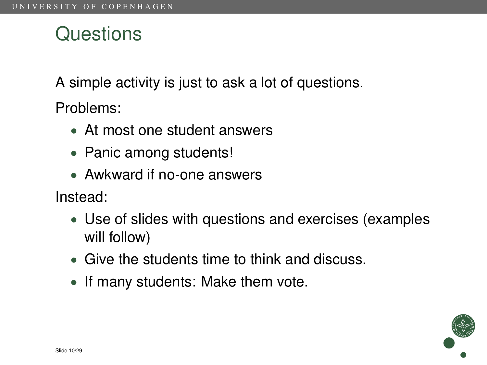## **Questions**

A simple activity is just to ask a lot of questions.

Problems:

- At most one student answers
- Panic among students!
- Awkward if no-one answers

Instead:

- Use of slides with questions and exercises (examples will follow)
- Give the students time to think and discuss.
- If many students: Make them vote.

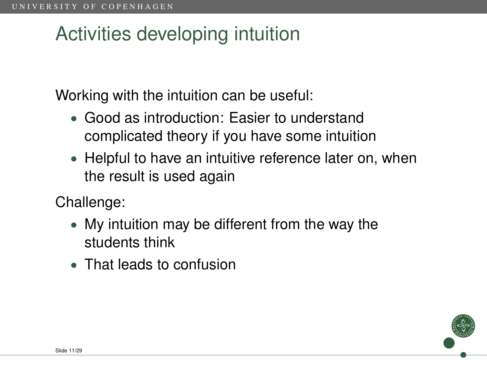## Activities developing intuition

Working with the intuition can be useful:

- Good as introduction: Easier to understand complicated theory if you have some intuition
- Helpful to have an intuitive reference later on, when the result is used again

Challenge:

- My intuition may be different from the way the students think
- That leads to confusion

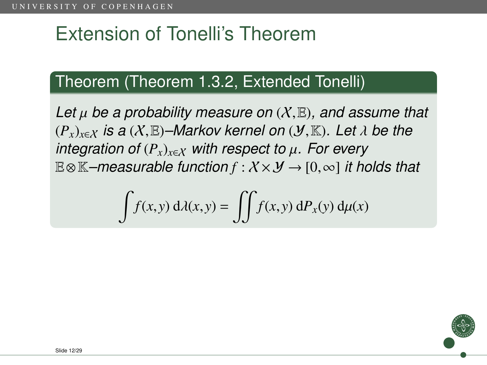# Extension of Tonelli's Theorem

#### Theorem (Theorem 1.3.2, Extended Tonelli)

*Let* µ *be a probability measure on* (X,E)*, and assume that*  $(P_x)_{x \in X}$  *is a* (X, E)–Markov kernel on (*Y*, K). Let  $\lambda$  be the *integration of*  $(P_x)_{x \in X}$  *with respect to*  $\mu$ *. For every* <sup>E</sup>⊗K*–measurable function <sup>f</sup>* : X × Y → [0,∞] *it holds that*

$$
\int f(x, y) d\lambda(x, y) = \iint f(x, y) dP_x(y) d\mu(x)
$$

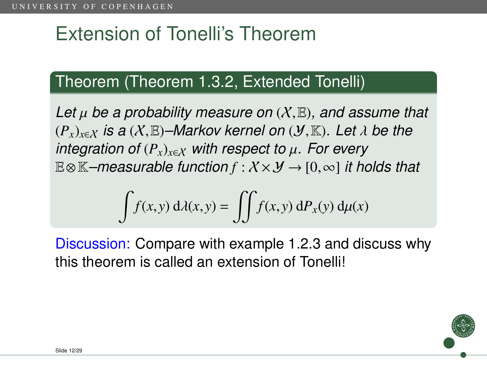# Extension of Tonelli's Theorem

### Theorem (Theorem 1.3.2, Extended Tonelli)

*Let* µ *be a probability measure on* (X,E)*, and assume that*  $(P_x)_{x \in X}$  *is a* (X, E)–Markov kernel on (*Y*, K). Let  $\lambda$  be the *integration of* (*Px*)*x*∈X *with respect to* <sup>µ</sup>*. For every* <sup>E</sup>⊗K*–measurable function <sup>f</sup>* : X × Y → [0,∞] *it holds that*

$$
\int f(x, y) d\lambda(x, y) = \iint f(x, y) dP_x(y) d\mu(x)
$$

Discussion: Compare with example 1.2.3 and discuss why this theorem is called an extension of Tonelli!

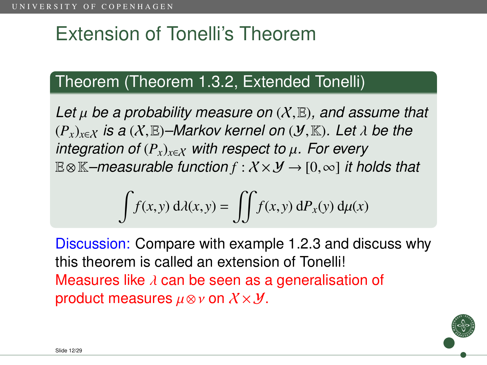# Extension of Tonelli's Theorem

### Theorem (Theorem 1.3.2, Extended Tonelli)

*Let* µ *be a probability measure on* (X,E)*, and assume that*  $(P_x)_{x \in X}$  *is a* (X, E)–Markov kernel on (*Y*, K). Let  $\lambda$  be the *integration of* (*Px*)*x*∈X *with respect to* <sup>µ</sup>*. For every* <sup>E</sup>⊗K*–measurable function <sup>f</sup>* : X × Y → [0,∞] *it holds that*

$$
\int f(x, y) d\lambda(x, y) = \iint f(x, y) dP_x(y) d\mu(x)
$$

Discussion: Compare with example 1.2.3 and discuss why this theorem is called an extension of Tonelli! Measures like  $\lambda$  can be seen as a generalisation of product measures  $\mu \otimes \nu$  on  $X \times Y$ .

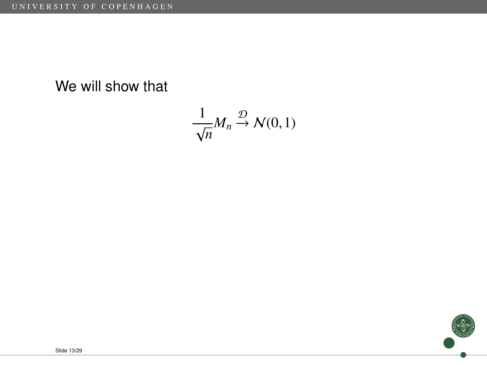We will show that

$$
\frac{1}{\sqrt{n}}M_n \stackrel{\mathcal{D}}{\rightarrow} \mathcal{N}(0,1)
$$

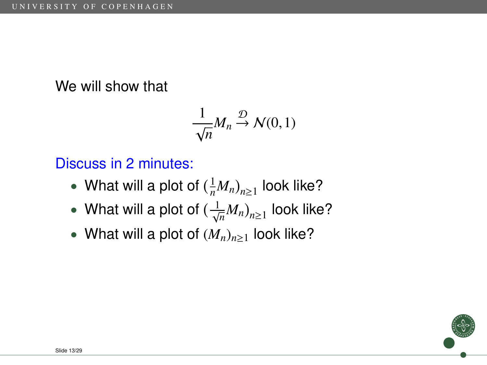#### We will show that

$$
\frac{1}{\sqrt{n}}M_n \stackrel{\mathcal{D}}{\rightarrow} \mathcal{N}(0,1)
$$

Discuss in 2 minutes:

- What will a plot of  $\left(\frac{1}{n}M_n\right)_{n\geq 1}$  look like?
- What will a plot of  $(\frac{1}{\sqrt{n}}M_n)_{n\geq 1}$  look like?
- What will a plot of  $(M_n)_{n\geq 1}$  look like?

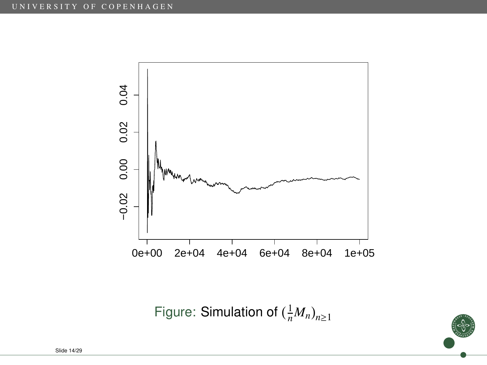

Figure: Simulation of  $(\frac{1}{n}M_n)_{n\geq 1}$ 

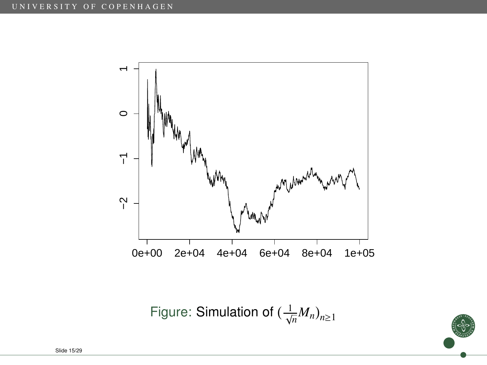

Figure: Simulation of  $(\frac{1}{\sqrt{n}}M_n)_{n\geq 1}$ 

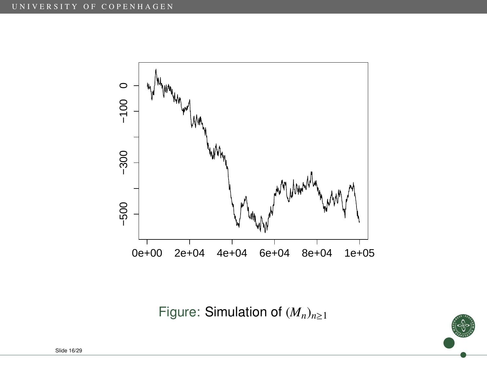

Figure: Simulation of  $(M_n)_{n\geq 1}$ 

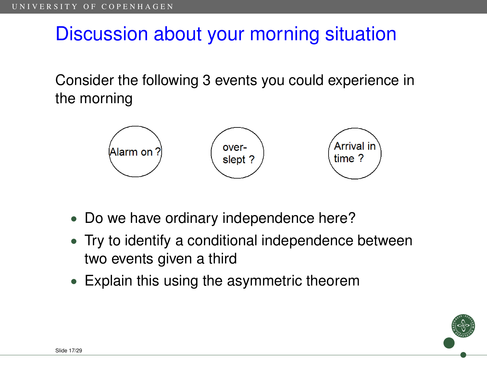## Discussion about your morning situation

Consider the following 3 events you could experience in the morning



- Do we have ordinary independence here?
- Try to identify a conditional independence between two events given a third
- Explain this using the asymmetric theorem

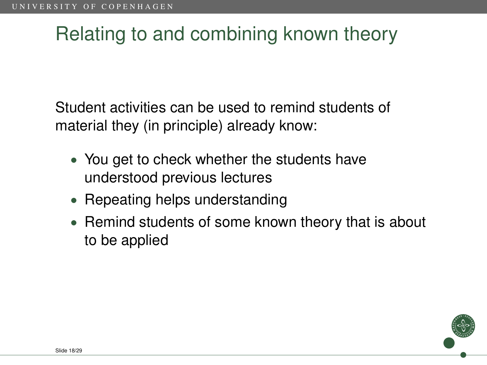# Relating to and combining known theory

Student activities can be used to remind students of material they (in principle) already know:

- You get to check whether the students have understood previous lectures
- Repeating helps understanding
- Remind students of some known theory that is about to be applied

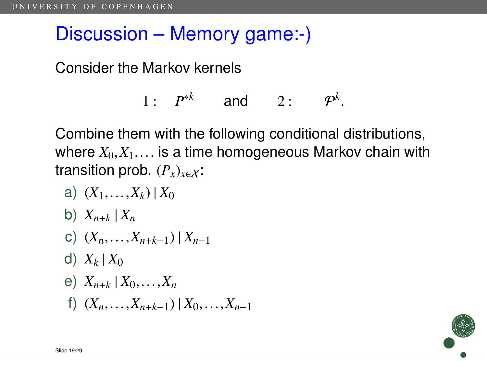## Discussion – Memory game:-)

Consider the Markov kernels

$$
1: P^{*k} \qquad \text{and} \qquad 2: P^{k}.
$$

Combine them with the following conditional distributions, where  $X_0, X_1, \ldots$  is a time homogeneous Markov chain with transition prob.  $(P_x)_{x \in X}$ :

- a) (*X*1,...,*Xk*) <sup>|</sup> *<sup>X</sup>*<sup>0</sup>
- b)  $X_{n+k}$   $X_n$
- c) (*Xn*,...,*Xn*+*k*−1) <sup>|</sup> *<sup>X</sup>n*−<sup>1</sup>
- d)  $X_k$  |  $X_0$
- e)  $X_{n+k} | X_0, \ldots, X_n$
- f) (*Xn*,...,*Xn*+*k*−1) <sup>|</sup> *<sup>X</sup>*0,...,*Xn*−<sup>1</sup>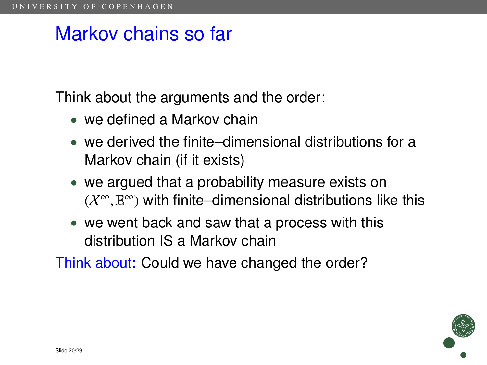## Markov chains so far

Think about the arguments and the order:

- we defined a Markov chain
- we derived the finite–dimensional distributions for a Markov chain (if it exists)
- we argued that a probability measure exists on  $(X^{\infty}, \mathbb{E}^{\infty})$  with finite–dimensional distributions like this
- we went back and saw that a process with this distribution IS a Markov chain

Think about: Could we have changed the order?

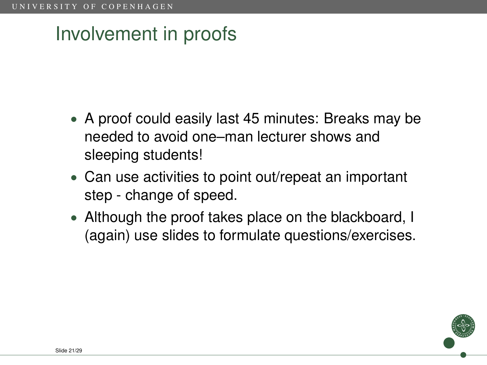# Involvement in proofs

- A proof could easily last 45 minutes: Breaks may be needed to avoid one–man lecturer shows and sleeping students!
- Can use activities to point out/repeat an important step - change of speed.
- Although the proof takes place on the blackboard, I (again) use slides to formulate questions/exercises.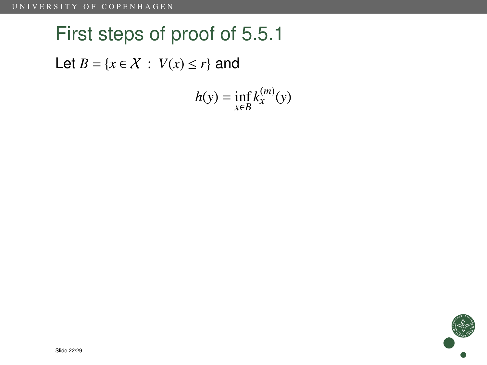# First steps of proof of 5.5.1

Let  $B = \{x \in \mathcal{X} : V(x) \le r\}$  and

$$
h(y) = \inf_{x \in B} k_x^{(m)}(y)
$$

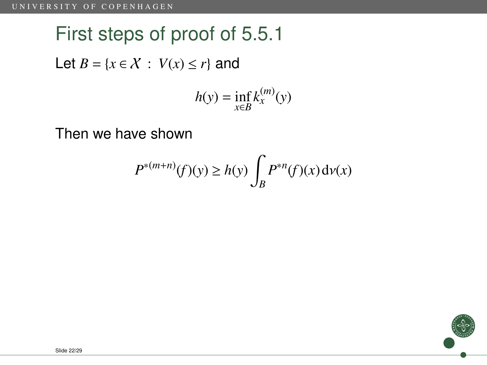# First steps of proof of 5.5.1 Let  $B = \{x \in \mathcal{X} : V(x) \le r\}$  and  $h(y) = \inf_{x \in B} k_x^{(m)}(y)$

Then we have shown

$$
P^{*(m+n)}(f)(y) \ge h(y) \int_B P^{*n}(f)(x) d\nu(x)
$$

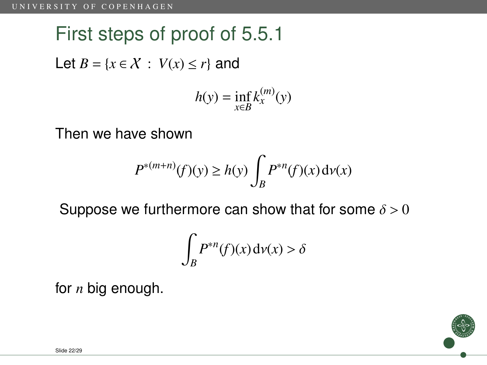# First steps of proof of 5.5.1 Let  $B = \{x \in \mathcal{X} : V(x) \le r\}$  and  $h(y) = \inf_{x \in B} k_x^{(m)}(y)$

Then we have shown

$$
P^{*(m+n)}(f)(y) \ge h(y) \int_B P^{*n}(f)(x) d\nu(x)
$$

Suppose we furthermore can show that for some  $\delta > 0$ 

$$
\int_B P^{*n}(f)(x) \, \mathrm{d}\nu(x) > \delta
$$

for *n* big enough.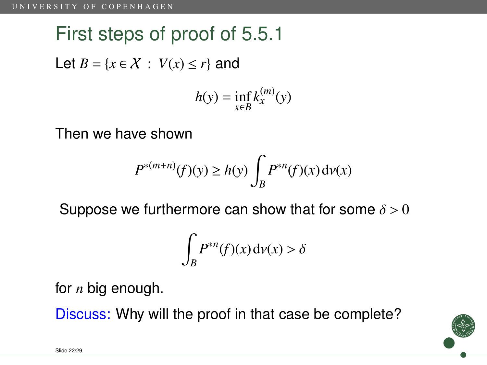# First steps of proof of 5.5.1 Let  $B = \{x \in \mathcal{X} : V(x) \le r\}$  and  $h(y) = \inf_{x \in B} k_x^{(m)}(y)$

Then we have shown

$$
P^{*(m+n)}(f)(y) \ge h(y) \int_B P^{*n}(f)(x) \, \mathrm{d}\nu(x)
$$

Suppose we furthermore can show that for some  $\delta > 0$ 

$$
\int_B P^{*n}(f)(x) \, \mathrm{d}\nu(x) > \delta
$$

for *n* big enough.

Discuss: Why will the proof in that case be complete?

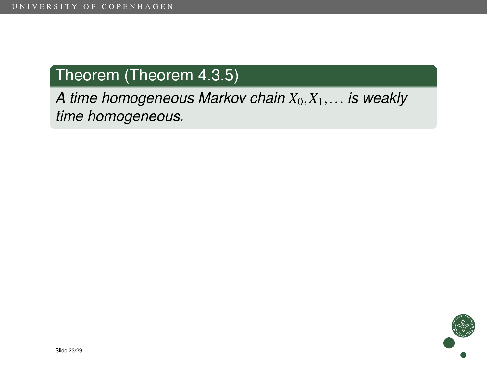#### Theorem (Theorem 4.3.5)

*A time homogeneous Markov chain <sup>X</sup>*0,*X*1,... *is weakly time homogeneous.*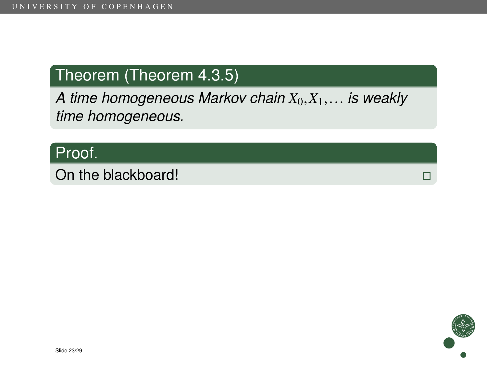#### Theorem (Theorem 4.3.5)

*A time homogeneous Markov chain <sup>X</sup>*0,*X*1,... *is weakly time homogeneous.*

#### Proof.

On the blackboard!<br>
On the blackboard!

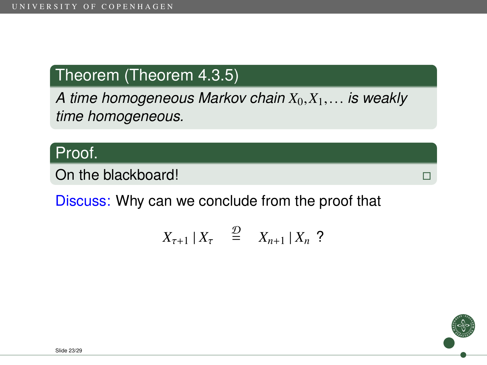#### Theorem (Theorem 4.3.5)

*A time homogeneous Markov chain <sup>X</sup>*0,*X*1,... *is weakly time homogeneous.*

#### Proof.

On the blackboard! The state of the state of the state of the state of the state of the state of the state of the state of the state of the state of the state of the state of the state of the state of the state of the stat

Discuss: Why can we conclude from the proof that

$$
X_{\tau+1} \mid X_{\tau} \quad \stackrel{\mathcal{D}}{=} \quad X_{n+1} \mid X_n \text{ ?}
$$

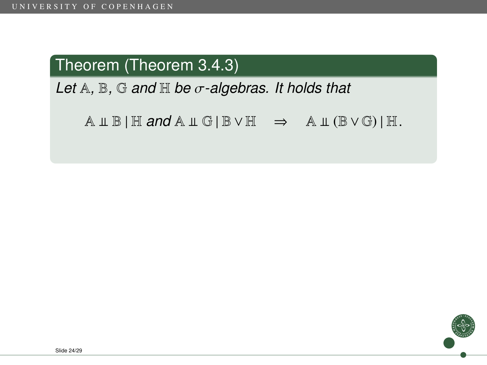#### Theorem (Theorem 3.4.3)

*Let* <sup>A</sup>*,* <sup>B</sup>*,* <sup>G</sup> *and* <sup>H</sup> *be* σ*-algebras. It holds that*

 $A \perp \mathbb{B} | \mathbb{H}$  and  $A \perp \mathbb{G} | \mathbb{B} \vee \mathbb{H} \Rightarrow A \perp (\mathbb{B} \vee \mathbb{G}) | \mathbb{H}.$ 

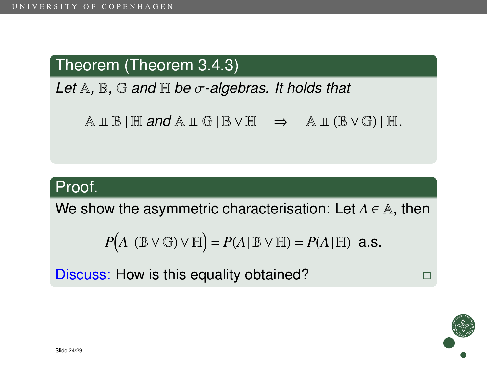#### Theorem (Theorem 3.4.3)

*Let* <sup>A</sup>*,* <sup>B</sup>*,* <sup>G</sup> *and* <sup>H</sup> *be* σ*-algebras. It holds that*

 $A \perp \mathbb{B}$  | H *and*  $A \perp \mathbb{G}$  | B  $\vee$  H  $\Rightarrow$   $A \perp (B \vee G)$  | H.

#### Proof.

We show the asymmetric characterisation: Let  $A \in \mathbb{A}$ , then

$$
P(A | (\mathbb{B} \vee \mathbb{G}) \vee \mathbb{H}) = P(A | \mathbb{B} \vee \mathbb{H}) = P(A | \mathbb{H}) \text{ a.s.}
$$

Discuss: How is this equality obtained?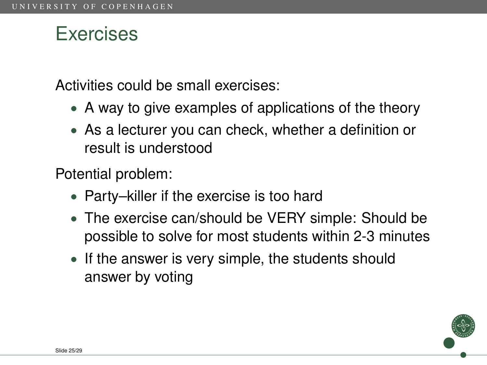## Exercises

Activities could be small exercises:

- A way to give examples of applications of the theory
- As a lecturer you can check, whether a definition or result is understood

Potential problem:

- Party–killer if the exercise is too hard
- The exercise can/should be VERY simple: Should be possible to solve for most students within 2-3 minutes
- If the answer is very simple, the students should answer by voting

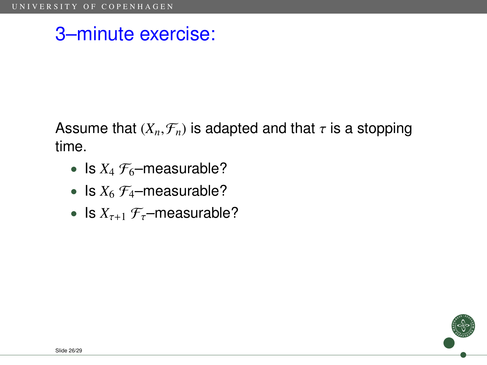Assume that  $(X_n, \mathcal{F}_n)$  is adapted and that  $\tau$  is a stopping time.

- Is  $X_4$   $\mathcal{F}_6$ -measurable?
- Is  $X_6$   $\mathcal{F}_4$ -measurable?
- Is  $X_{\tau+1}$   $\mathcal{F}_{\tau}$ –measurable?

Slide 26/29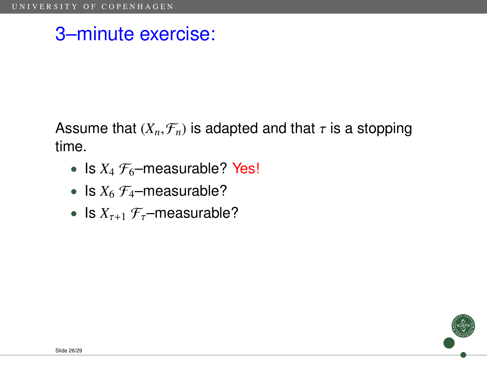Assume that  $(X_n, \mathcal{F}_n)$  is adapted and that  $\tau$  is a stopping time.

- Is  $X_4$   $\mathcal{F}_6$ -measurable? Yes!
- Is  $X_6$   $\mathcal{F}_4$ -measurable?
- Is  $X_{\tau+1}$   $\mathcal{F}_{\tau}$ –measurable?

Slide 26/29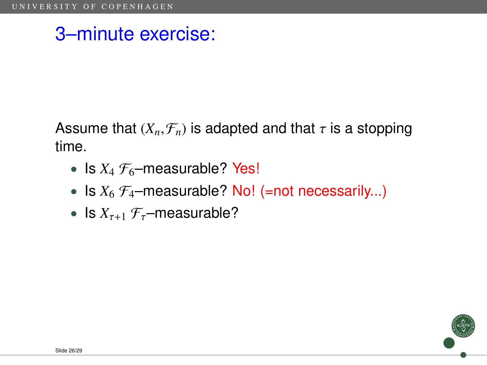Assume that  $(X_n, \mathcal{F}_n)$  is adapted and that  $\tau$  is a stopping time.

- Is  $X_4$   $\mathcal{F}_6$ -measurable? Yes!
- Is  $X_6 \mathcal{F}_4$ -measurable? No! (=not necessarily...)
- Is  $X_{\tau+1}$   $\mathcal{F}_{\tau}$ –measurable?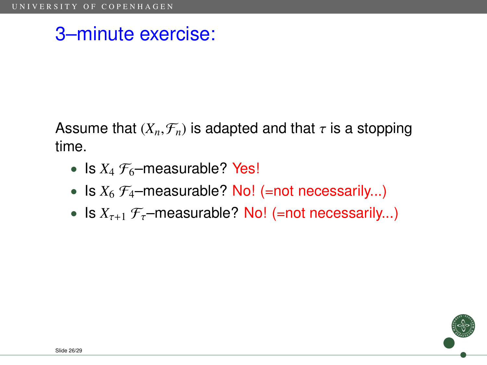Assume that  $(X_n, \mathcal{F}_n)$  is adapted and that  $\tau$  is a stopping time.

- Is  $X_4$   $\mathcal{F}_6$ -measurable? Yes!
- Is  $X_6$   $\mathcal{F}_4$ -measurable? No! (=not necessarily...)
- Is  $X_{\tau+1}$   $\mathcal{F}_{\tau}$ -measurable? No! (=not necessarily...)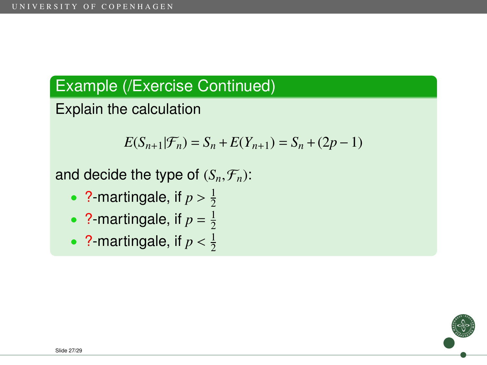Explain the calculation

$$
E(S_{n+1}|\mathcal{F}_n) = S_n + E(Y_{n+1}) = S_n + (2p - 1)
$$

- ?-martingale, if  $p > \frac{1}{2}$ 2
- ? martingale, if  $p = \frac{1}{2}$ 2
- ?-martingale, if  $p < \frac{1}{2}$ 2

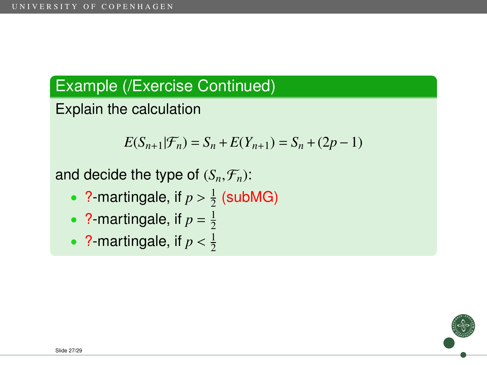Explain the calculation

$$
E(S_{n+1}|\mathcal{F}_n) = S_n + E(Y_{n+1}) = S_n + (2p - 1)
$$

- ?-martingale, if  $p > \frac{1}{2}$  $\frac{1}{2}$  (subMG)
- ? martingale, if  $p = \frac{1}{2}$ 2
- ?-martingale, if  $p < \frac{1}{2}$ 2

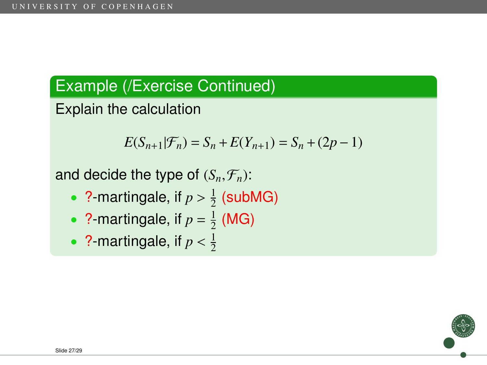Explain the calculation

$$
E(S_{n+1}|\mathcal{F}_n) = S_n + E(Y_{n+1}) = S_n + (2p - 1)
$$

- ?-martingale, if  $p > \frac{1}{2}$  $\frac{1}{2}$  (subMG)
- ? martingale, if  $p = \frac{1}{2}$  $\frac{1}{2}$  (MG)
- ?-martingale, if  $p < \frac{1}{2}$ 2

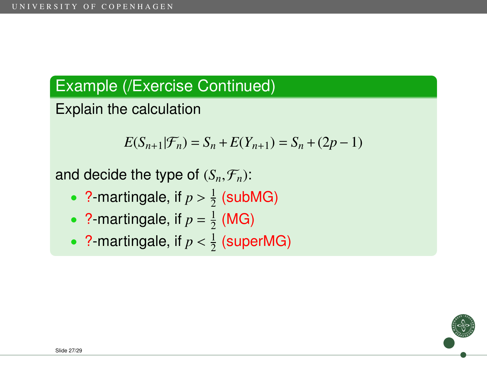Explain the calculation

$$
E(S_{n+1}|\mathcal{F}_n) = S_n + E(Y_{n+1}) = S_n + (2p - 1)
$$

- ?-martingale, if  $p > \frac{1}{2}$  $\frac{1}{2}$  (subMG)
- ? martingale, if  $p = \frac{1}{2}$  $\frac{1}{2}$  (MG)
- ?-martingale, if  $p < \frac{1}{2}$  $\frac{1}{2}$  (superMG)

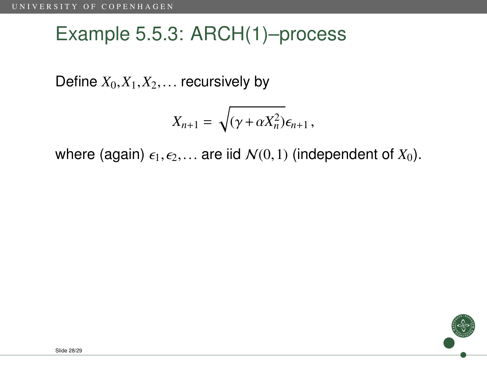# Example 5.5.3: ARCH(1)–process

Define  $X_0, X_1, X_2, \ldots$  recursively by

$$
X_{n+1} = \sqrt{(\gamma + \alpha X_n^2)} \epsilon_{n+1},
$$

where (again)  $\epsilon_1, \epsilon_2,...$  are iid  $\mathcal{N}(0,1)$  (independent of  $X_0$ ).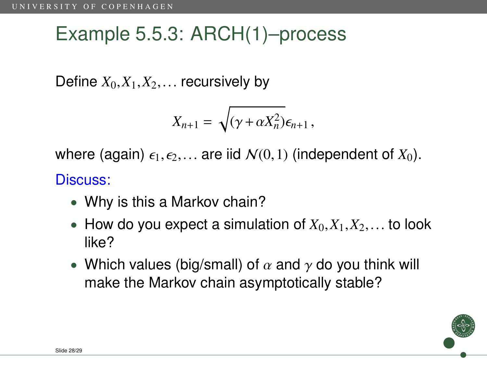# Example 5.5.3: ARCH(1)–process

Define  $X_0, X_1, X_2, \ldots$  recursively by

$$
X_{n+1} = \sqrt{(\gamma + \alpha X_n^2)} \epsilon_{n+1},
$$

where (again)  $\epsilon_1, \epsilon_2,...$  are iid  $\mathcal{N}(0,1)$  (independent of  $X_0$ ).

#### Discuss:

- Why is this a Markov chain?
- How do you expect a simulation of  $X_0, X_1, X_2, \ldots$  to look like?
- Which values (big/small) of  $\alpha$  and  $\gamma$  do you think will make the Markov chain asymptotically stable?

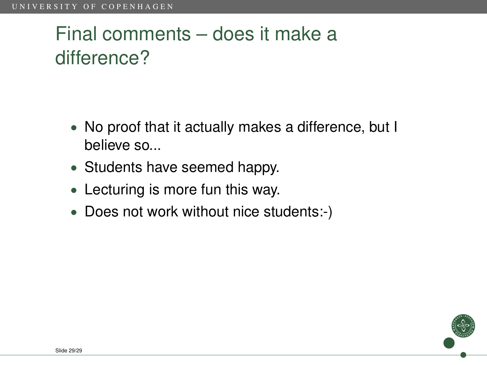# Final comments – does it make a difference?

- No proof that it actually makes a difference, but I believe so...
- Students have seemed happy.
- Lecturing is more fun this way.
- <span id="page-44-0"></span>• Does not work without nice students:-)